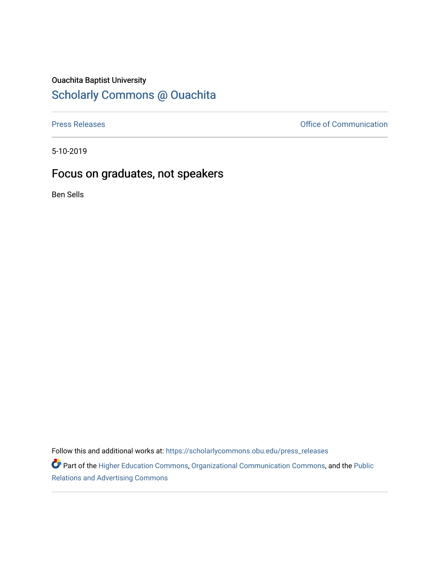## Ouachita Baptist University

## [Scholarly Commons @ Ouachita](https://scholarlycommons.obu.edu/)

[Press Releases](https://scholarlycommons.obu.edu/press_releases) **Press Releases Communication** 

5-10-2019

## Focus on graduates, not speakers

Ben Sells

Follow this and additional works at: [https://scholarlycommons.obu.edu/press\\_releases](https://scholarlycommons.obu.edu/press_releases?utm_source=scholarlycommons.obu.edu%2Fpress_releases%2F814&utm_medium=PDF&utm_campaign=PDFCoverPages)

Part of the [Higher Education Commons,](http://network.bepress.com/hgg/discipline/1245?utm_source=scholarlycommons.obu.edu%2Fpress_releases%2F814&utm_medium=PDF&utm_campaign=PDFCoverPages) [Organizational Communication Commons,](http://network.bepress.com/hgg/discipline/335?utm_source=scholarlycommons.obu.edu%2Fpress_releases%2F814&utm_medium=PDF&utm_campaign=PDFCoverPages) and the [Public](http://network.bepress.com/hgg/discipline/336?utm_source=scholarlycommons.obu.edu%2Fpress_releases%2F814&utm_medium=PDF&utm_campaign=PDFCoverPages) [Relations and Advertising Commons](http://network.bepress.com/hgg/discipline/336?utm_source=scholarlycommons.obu.edu%2Fpress_releases%2F814&utm_medium=PDF&utm_campaign=PDFCoverPages)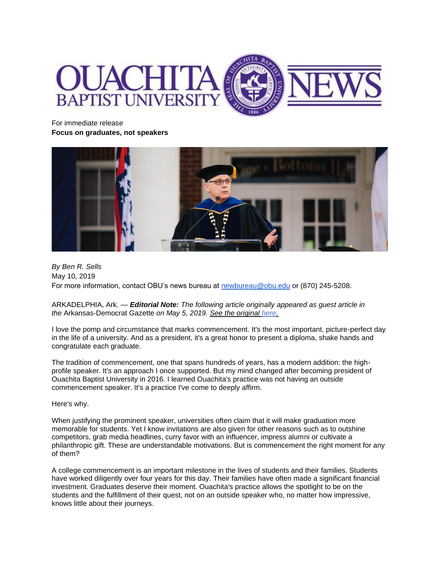

For immediate release **Focus on graduates, not speakers**



*By Ben R. Sells* May 10, 2019 For more information, contact OBU's news bureau at [newbureau@obu.edu](mailto:newbureau@obu.edu) or (870) 245-5208.

ARKADELPHIA, Ark. — *Editorial Note: The following article originally appeared as guest article in the* Arkansas-Democrat Gazette *on May 5, 2019. [See the original here.](https://www.arkansasonline.com/news/2019/may/05/focus-on-graduates-not-speakers-2019050/)*

I love the pomp and circumstance that marks commencement. It's the most important, picture-perfect day in the life of a university. And as a president, it's a great honor to present a diploma, shake hands and congratulate each graduate.

The tradition of commencement, one that spans hundreds of years, has a modern addition: the highprofile speaker. It's an approach I once supported. But my mind changed after becoming president of Ouachita Baptist University in 2016. I learned Ouachita's practice was not having an outside commencement speaker. It's a practice I've come to deeply affirm.

Here's why.

When justifying the prominent speaker, universities often claim that it will make graduation more memorable for students. Yet I know invitations are also given for other reasons such as to outshine competitors, grab media headlines, curry favor with an influencer, impress alumni or cultivate a philanthropic gift. These are understandable motivations. But is commencement the right moment for any of them?

A college commencement is an important milestone in the lives of students and their families. Students have worked diligently over four years for this day. Their families have often made a significant financial investment. Graduates deserve their moment. Ouachita's practice allows the spotlight to be on the students and the fulfillment of their quest, not on an outside speaker who, no matter how impressive, knows little about their journeys.